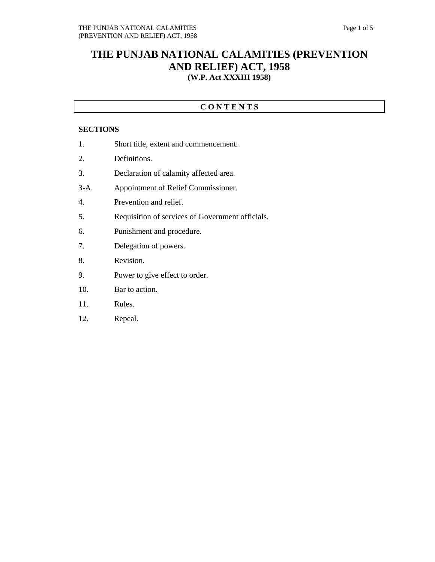## **THE PUNJAB NATIONAL CALAMITIES (PREVENTION AND RELIEF) ACT, 1958 (W.P. Act XXXIII 1958)**

## **C O N T E N T S**

## **SECTIONS**

- 1. Short title, extent and commencement.
- 2. Definitions.
- 3. Declaration of calamity affected area.
- 3-A. Appointment of Relief Commissioner.
- 4. Prevention and relief.
- 5. Requisition of services of Government officials.
- 6. Punishment and procedure.
- 7. Delegation of powers.
- 8. Revision.
- 9. Power to give effect to order.
- 10. Bar to action.
- 11. Rules.
- 12. Repeal.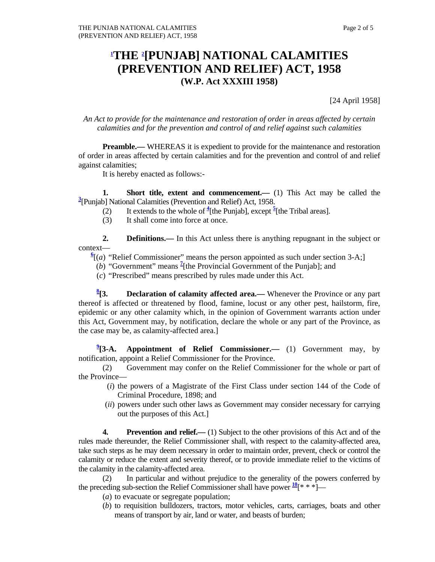## **1 THE 2 [PUNJAB] NATIONAL CALAMITIES (PREVENTION AND RELIEF) ACT, 1958 (W.P. Act XXXIII 1958)**

[24 April 1958]

*An Act to provide for the maintenance and restoration of order in areas affected by certain calamities and for the prevention and control of and relief against such calamities* 

**Preamble.**— WHEREAS it is expedient to provide for the maintenance and restoration of order in areas affected by certain calamities and for the prevention and control of and relief against calamities;

It is hereby enacted as follows:-

**1.** Short title, extent and commencement.— (1) This Act may be called the **3** [Punjab] National Calamities (Prevention and Relief) Act, 1958.

- (2) It extends to the whole of  $\frac{4}{3}$  [the Punjab], except  $\frac{5}{3}$  [the Tribal areas].
	- (3) It shall come into force at once.

**2. Definitions.**— In this Act unless there is anything repugnant in the subject or context—

 $\frac{6}{2}$  (*a*) "Relief Commissioner" means the person appointed as such under section 3-A;]

- (*b*) "Government" means  $\frac{7}{1}$  [the Provincial Government of the Punjab]; and
	- (*c*) "Prescribed" means prescribed by rules made under this Act.

 $\frac{8}{13}$ . **Declaration of calamity affected area.—** Whenever the Province or any part thereof is affected or threatened by flood, famine, locust or any other pest, hailstorm, fire, epidemic or any other calamity which, in the opinion of Government warrants action under this Act, Government may, by notification, declare the whole or any part of the Province, as the case may be, as calamity-affected area.]

 $\frac{9}{2}$ [3-A. **Appointment of Relief Commissioner.—** (1) Government may, by notification, appoint a Relief Commissioner for the Province.

 (2) Government may confer on the Relief Commissioner for the whole or part of the Province—

- (*i*) the powers of a Magistrate of the First Class under section 144 of the Code of Criminal Procedure, 1898; and
- (*ii*) powers under such other laws as Government may consider necessary for carrying out the purposes of this Act.]

**4.** Prevention and relief.— (1) Subject to the other provisions of this Act and of the rules made thereunder, the Relief Commissioner shall, with respect to the calamity-affected area, take such steps as he may deem necessary in order to maintain order, prevent, check or control the calamity or reduce the extent and severity thereof, or to provide immediate relief to the victims of the calamity in the calamity-affected area.

 (2) In particular and without prejudice to the generality of the powers conferred by the preceding sub-section the Relief Commissioner shall have power  $\frac{10}{x}$  \* \*]—

- (*a*) to evacuate or segregate population;
- (*b*) to requisition bulldozers, tractors, motor vehicles, carts, carriages, boats and other means of transport by air, land or water, and beasts of burden;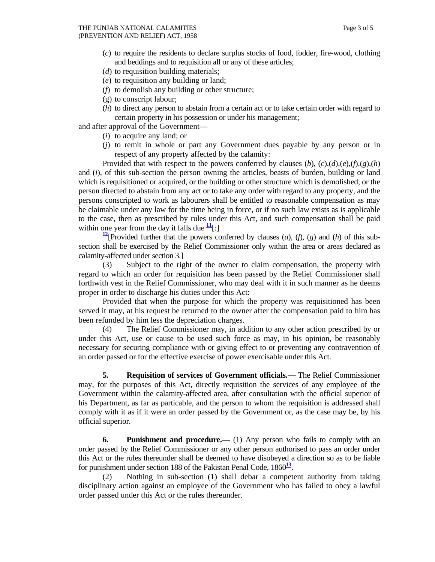- (*c*) to require the residents to declare surplus stocks of food, fodder, fire-wood, clothing and beddings and to requisition all or any of these articles;
- (*d*) to requisition building materials;
- (*e*) to requisition any building or land;
- (*f*) to demolish any building or other structure;
- (g) to conscript labour;
- (*h*) to direct any person to abstain from a certain act or to take certain order with regard to certain property in his possession or under his management;

and after approval of the Government—

- (*i*) to acquire any land; or
- (*j*) to remit in whole or part any Government dues payable by any person or in respect of any property affected by the calamity:

 Provided that with respect to the powers conferred by clauses (*b*), (*c*),(*d*),(*e*),(*f*),(*g*),(*h*) and (*i*), of this sub-section the person owning the articles, beasts of burden, building or land which is requisitioned or acquired, or the building or other structure which is demolished, or the person directed to abstain from any act or to take any order with regard to any property, and the persons conscripted to work as labourers shall be entitled to reasonable compensation as may be claimable under any law for the time being in force, or if no such law exists as is applicable to the case, then as prescribed by rules under this Act, and such compensation shall be paid within one year from the day it falls due  $\frac{11}{1}$ :

**12**[Provided further that the powers conferred by clauses  $(a)$ ,  $(f)$ ,  $(g)$  and  $(h)$  of this subsection shall be exercised by the Relief Commissioner only within the area or areas declared as calamity-affected under section 3.]

 (3) Subject to the right of the owner to claim compensation, the property with regard to which an order for requisition has been passed by the Relief Commissioner shall forthwith vest in the Relief Commissioner, who may deal with it in such manner as he deems proper in order to discharge his duties under this Act:

 Provided that when the purpose for which the property was requisitioned has been served it may, at his request be returned to the owner after the compensation paid to him has been refunded by him less the depreciation charges.

 (4) The Relief Commissioner may, in addition to any other action prescribed by or under this Act, use or cause to be used such force as may, in his opinion, be reasonably necessary for securing compliance with or giving effect to or preventing any contravention of an order passed or for the effective exercise of power exercisable under this Act.

 **5. Requisition of services of Government officials.—** The Relief Commissioner may, for the purposes of this Act, directly requisition the services of any employee of the Government within the calamity-affected area, after consultation with the official superior of his Department, as far as particable, and the person to whom the requisition is addressed shall comply with it as if it were an order passed by the Government or, as the case may be, by his official superior.

**6.** Punishment and procedure.— (1) Any person who fails to comply with an order passed by the Relief Commissioner or any other person authorised to pass an order under this Act or the rules thereunder shall be deemed to have disobeyed a direction so as to be liable for punishment under section 188 of the Pakistan Penal Code, 1860**<sup>13</sup>**.

 (2) Nothing in sub-section (1) shall debar a competent authority from taking disciplinary action against an employee of the Government who has failed to obey a lawful order passed under this Act or the rules thereunder.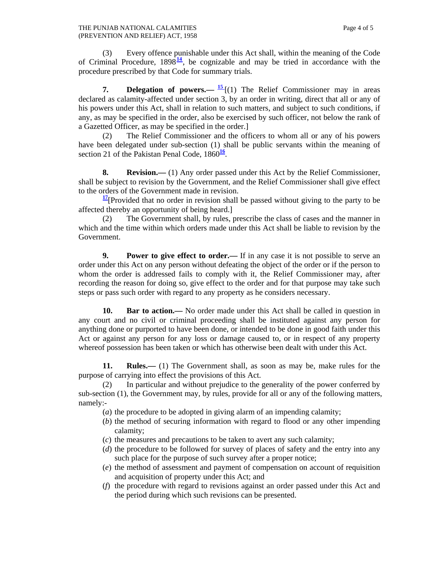(3) Every offence punishable under this Act shall, within the meaning of the Code of Criminal Procedure,  $1898\frac{14}{16}$ , be cognizable and may be tried in accordance with the procedure prescribed by that Code for summary trials.

**7. Delegation of powers.—**  $\frac{15}{2}$  **[(1) The Relief Commissioner may in areas** declared as calamity-affected under section 3, by an order in writing, direct that all or any of his powers under this Act, shall in relation to such matters, and subject to such conditions, if any, as may be specified in the order, also be exercised by such officer, not below the rank of a Gazetted Officer, as may be specified in the order.]

 (2) The Relief Commissioner and the officers to whom all or any of his powers have been delegated under sub-section (1) shall be public servants within the meaning of section 21 of the Pakistan Penal Code, 1860<sup>16</sup>.

**8.** Revision.—— (1) Any order passed under this Act by the Relief Commissioner, shall be subject to revision by the Government, and the Relief Commissioner shall give effect to the orders of the Government made in revision.

**<sup>17</sup>**[Provided that no order in revision shall be passed without giving to the party to be affected thereby an opportunity of being heard.]

 (2) The Government shall, by rules, prescribe the class of cases and the manner in which and the time within which orders made under this Act shall be liable to revision by the Government.

**9.** Power to give effect to order.— If in any case it is not possible to serve an order under this Act on any person without defeating the object of the order or if the person to whom the order is addressed fails to comply with it, the Relief Commissioner may, after recording the reason for doing so, give effect to the order and for that purpose may take such steps or pass such order with regard to any property as he considers necessary.

**10. Bar to action.—** No order made under this Act shall be called in question in any court and no civil or criminal proceeding shall be instituted against any person for anything done or purported to have been done, or intended to be done in good faith under this Act or against any person for any loss or damage caused to, or in respect of any property whereof possession has been taken or which has otherwise been dealt with under this Act.

 **11. Rules.—** (1) The Government shall, as soon as may be, make rules for the purpose of carrying into effect the provisions of this Act.

 (2) In particular and without prejudice to the generality of the power conferred by sub-section (1), the Government may, by rules, provide for all or any of the following matters, namely:-

- (*a*) the procedure to be adopted in giving alarm of an impending calamity;
- (*b*) the method of securing information with regard to flood or any other impending calamity;
- (*c*) the measures and precautions to be taken to avert any such calamity;
- (*d*) the procedure to be followed for survey of places of safety and the entry into any such place for the purpose of such survey after a proper notice;
- (*e*) the method of assessment and payment of compensation on account of requisition and acquisition of property under this Act; and
- (*f*) the procedure with regard to revisions against an order passed under this Act and the period during which such revisions can be presented.